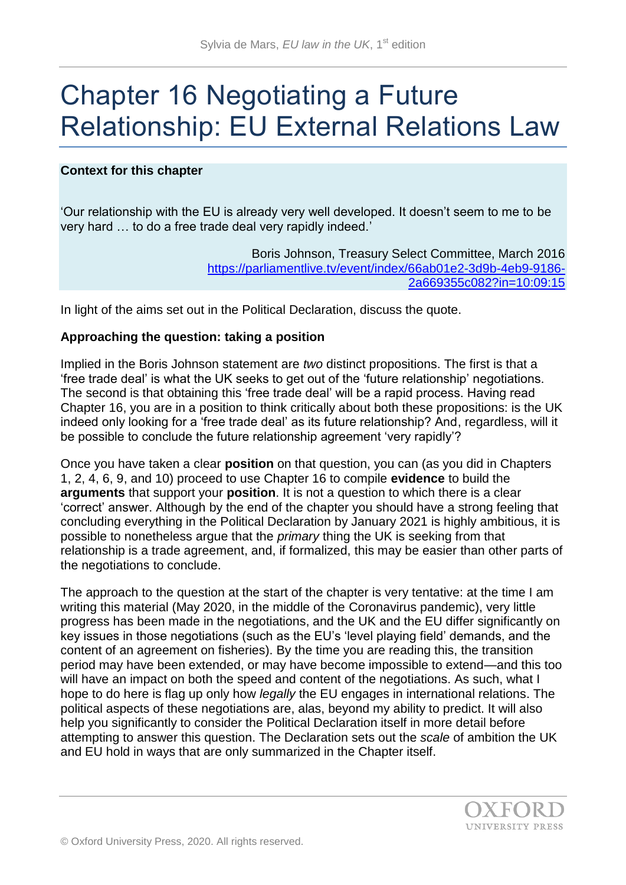# Chapter 16 Negotiating a Future Relationship: EU External Relations Law

# **Context for this chapter**

'Our relationship with the EU is already very well developed. It doesn't seem to me to be very hard … to do a free trade deal very rapidly indeed.'

> Boris Johnson, Treasury Select Committee, March 2016 [https://parliamentlive.tv/event/index/66ab01e2-3d9b-4eb9-9186-](https://parliamentlive.tv/event/index/66ab01e2-3d9b-4eb9-9186-2a669355c082?in=10:09:15) [2a669355c082?in=10:09:15](https://parliamentlive.tv/event/index/66ab01e2-3d9b-4eb9-9186-2a669355c082?in=10:09:15)

In light of the aims set out in the Political Declaration, discuss the quote.

## **Approaching the question: taking a position**

Implied in the Boris Johnson statement are *two* distinct propositions. The first is that a 'free trade deal' is what the UK seeks to get out of the 'future relationship' negotiations. The second is that obtaining this 'free trade deal' will be a rapid process. Having read Chapter 16, you are in a position to think critically about both these propositions: is the UK indeed only looking for a 'free trade deal' as its future relationship? And, regardless, will it be possible to conclude the future relationship agreement 'very rapidly'?

Once you have taken a clear **position** on that question, you can (as you did in Chapters 1, 2, 4, 6, 9, and 10) proceed to use Chapter 16 to compile **evidence** to build the **arguments** that support your **position**. It is not a question to which there is a clear 'correct' answer. Although by the end of the chapter you should have a strong feeling that concluding everything in the Political Declaration by January 2021 is highly ambitious, it is possible to nonetheless argue that the *primary* thing the UK is seeking from that relationship is a trade agreement, and, if formalized, this may be easier than other parts of the negotiations to conclude.

The approach to the question at the start of the chapter is very tentative: at the time I am writing this material (May 2020, in the middle of the Coronavirus pandemic), very little progress has been made in the negotiations, and the UK and the EU differ significantly on key issues in those negotiations (such as the EU's 'level playing field' demands, and the content of an agreement on fisheries). By the time you are reading this, the transition period may have been extended, or may have become impossible to extend—and this too will have an impact on both the speed and content of the negotiations. As such, what I hope to do here is flag up only how *legally* the EU engages in international relations. The political aspects of these negotiations are, alas, beyond my ability to predict. It will also help you significantly to consider the Political Declaration itself in more detail before attempting to answer this question. The Declaration sets out the *scale* of ambition the UK and EU hold in ways that are only summarized in the Chapter itself.

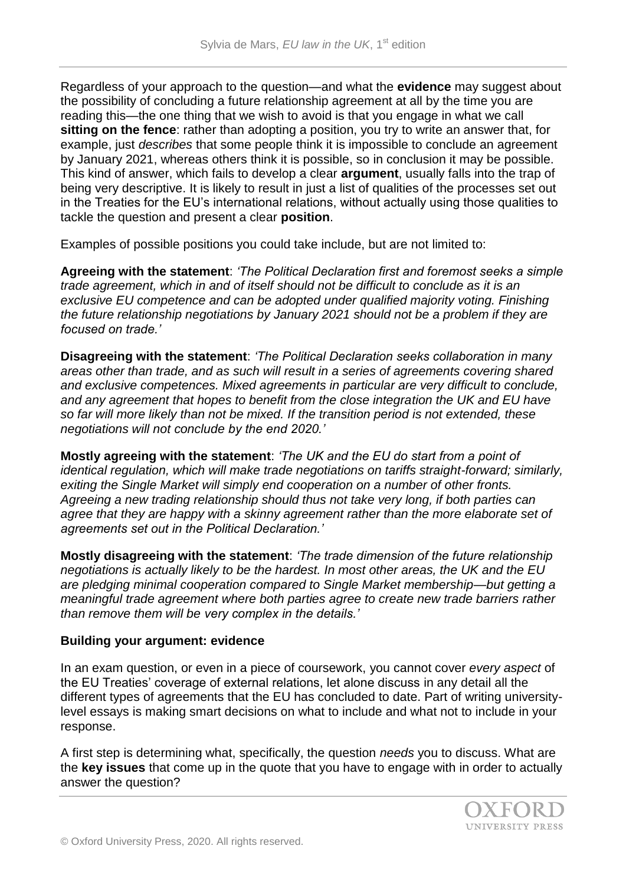Regardless of your approach to the question—and what the **evidence** may suggest about the possibility of concluding a future relationship agreement at all by the time you are reading this—the one thing that we wish to avoid is that you engage in what we call **sitting on the fence**: rather than adopting a position, you try to write an answer that, for example, just *describes* that some people think it is impossible to conclude an agreement by January 2021, whereas others think it is possible, so in conclusion it may be possible. This kind of answer, which fails to develop a clear **argument**, usually falls into the trap of being very descriptive. It is likely to result in just a list of qualities of the processes set out in the Treaties for the EU's international relations, without actually using those qualities to tackle the question and present a clear **position**.

Examples of possible positions you could take include, but are not limited to:

**Agreeing with the statement**: *'The Political Declaration first and foremost seeks a simple trade agreement, which in and of itself should not be difficult to conclude as it is an*  exclusive EU competence and can be adopted under qualified majority voting. Finishing *the future relationship negotiations by January 2021 should not be a problem if they are focused on trade.'*

**Disagreeing with the statement**: *'The Political Declaration seeks collaboration in many areas other than trade, and as such will result in a series of agreements covering shared and exclusive competences. Mixed agreements in particular are very difficult to conclude, and any agreement that hopes to benefit from the close integration the UK and EU have so far will more likely than not be mixed. If the transition period is not extended, these negotiations will not conclude by the end 2020.'* 

**Mostly agreeing with the statement**: *'The UK and the EU do start from a point of identical regulation, which will make trade negotiations on tariffs straight-forward; similarly, exiting the Single Market will simply end cooperation on a number of other fronts. Agreeing a new trading relationship should thus not take very long, if both parties can agree that they are happy with a skinny agreement rather than the more elaborate set of agreements set out in the Political Declaration.'*

**Mostly disagreeing with the statement**: *'The trade dimension of the future relationship negotiations is actually likely to be the hardest. In most other areas, the UK and the EU are pledging minimal cooperation compared to Single Market membership—but getting a meaningful trade agreement where both parties agree to create new trade barriers rather than remove them will be very complex in the details.'*

## **Building your argument: evidence**

In an exam question, or even in a piece of coursework, you cannot cover *every aspect* of the EU Treaties' coverage of external relations, let alone discuss in any detail all the different types of agreements that the EU has concluded to date. Part of writing universitylevel essays is making smart decisions on what to include and what not to include in your response.

A first step is determining what, specifically, the question *needs* you to discuss. What are the **key issues** that come up in the quote that you have to engage with in order to actually answer the question?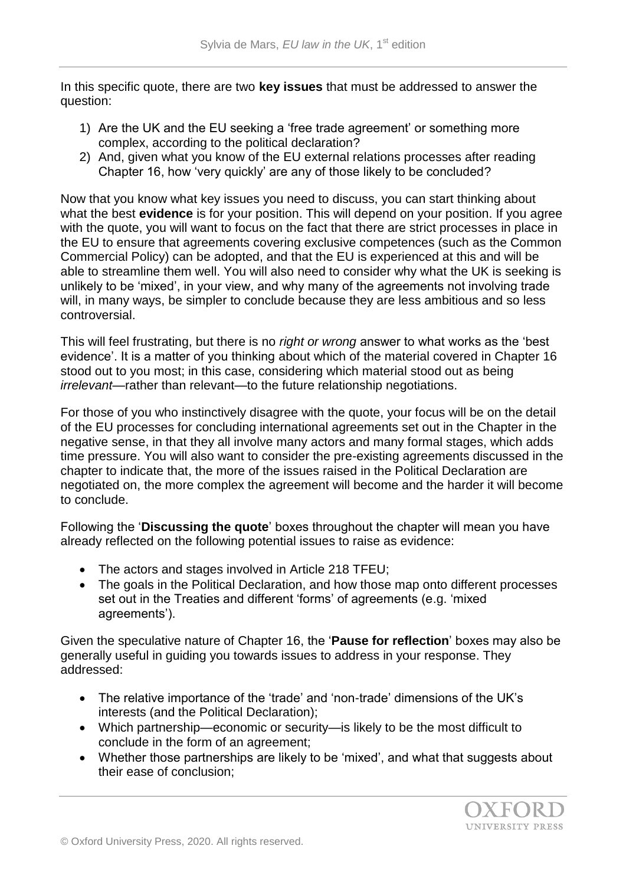In this specific quote, there are two **key issues** that must be addressed to answer the question:

- 1) Are the UK and the EU seeking a 'free trade agreement' or something more complex, according to the political declaration?
- 2) And, given what you know of the EU external relations processes after reading Chapter 16, how 'very quickly' are any of those likely to be concluded?

Now that you know what key issues you need to discuss, you can start thinking about what the best **evidence** is for your position. This will depend on your position. If you agree with the quote, you will want to focus on the fact that there are strict processes in place in the EU to ensure that agreements covering exclusive competences (such as the Common Commercial Policy) can be adopted, and that the EU is experienced at this and will be able to streamline them well. You will also need to consider why what the UK is seeking is unlikely to be 'mixed', in your view, and why many of the agreements not involving trade will, in many ways, be simpler to conclude because they are less ambitious and so less controversial.

This will feel frustrating, but there is no *right or wrong* answer to what works as the 'best evidence'. It is a matter of you thinking about which of the material covered in Chapter 16 stood out to you most; in this case, considering which material stood out as being *irrelevant*—rather than relevant—to the future relationship negotiations.

For those of you who instinctively disagree with the quote, your focus will be on the detail of the EU processes for concluding international agreements set out in the Chapter in the negative sense, in that they all involve many actors and many formal stages, which adds time pressure. You will also want to consider the pre-existing agreements discussed in the chapter to indicate that, the more of the issues raised in the Political Declaration are negotiated on, the more complex the agreement will become and the harder it will become to conclude.

Following the '**Discussing the quote**' boxes throughout the chapter will mean you have already reflected on the following potential issues to raise as evidence:

- The actors and stages involved in Article 218 TFEU;
- The goals in the Political Declaration, and how those map onto different processes set out in the Treaties and different 'forms' of agreements (e.g. 'mixed agreements').

Given the speculative nature of Chapter 16, the '**Pause for reflection**' boxes may also be generally useful in guiding you towards issues to address in your response. They addressed:

- The relative importance of the 'trade' and 'non-trade' dimensions of the UK's interests (and the Political Declaration);
- Which partnership—economic or security—is likely to be the most difficult to conclude in the form of an agreement;
- Whether those partnerships are likely to be 'mixed', and what that suggests about their ease of conclusion;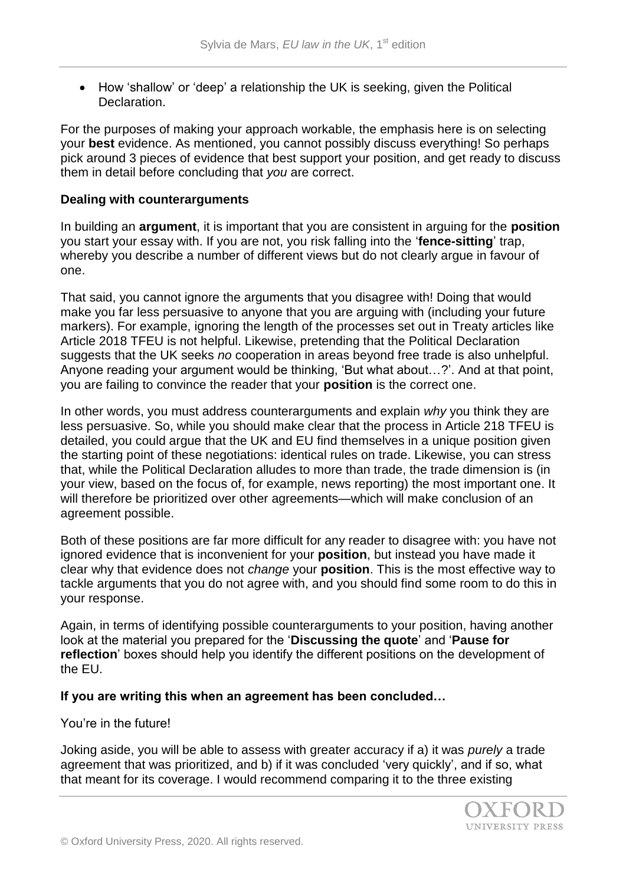• How 'shallow' or 'deep' a relationship the UK is seeking, given the Political Declaration.

For the purposes of making your approach workable, the emphasis here is on selecting your **best** evidence. As mentioned, you cannot possibly discuss everything! So perhaps pick around 3 pieces of evidence that best support your position, and get ready to discuss them in detail before concluding that *you* are correct.

# **Dealing with counterarguments**

In building an **argument**, it is important that you are consistent in arguing for the **position**  you start your essay with. If you are not, you risk falling into the '**fence-sitting**' trap, whereby you describe a number of different views but do not clearly argue in favour of one.

That said, you cannot ignore the arguments that you disagree with! Doing that would make you far less persuasive to anyone that you are arguing with (including your future markers). For example, ignoring the length of the processes set out in Treaty articles like Article 2018 TFEU is not helpful. Likewise, pretending that the Political Declaration suggests that the UK seeks *no* cooperation in areas beyond free trade is also unhelpful. Anyone reading your argument would be thinking, 'But what about…?'. And at that point, you are failing to convince the reader that your **position** is the correct one.

In other words, you must address counterarguments and explain *why* you think they are less persuasive. So, while you should make clear that the process in Article 218 TFEU is detailed, you could argue that the UK and EU find themselves in a unique position given the starting point of these negotiations: identical rules on trade. Likewise, you can stress that, while the Political Declaration alludes to more than trade, the trade dimension is (in your view, based on the focus of, for example, news reporting) the most important one. It will therefore be prioritized over other agreements—which will make conclusion of an agreement possible.

Both of these positions are far more difficult for any reader to disagree with: you have not ignored evidence that is inconvenient for your **position**, but instead you have made it clear why that evidence does not *change* your **position**. This is the most effective way to tackle arguments that you do not agree with, and you should find some room to do this in your response.

Again, in terms of identifying possible counterarguments to your position, having another look at the material you prepared for the '**Discussing the quote**' and '**Pause for reflection**' boxes should help you identify the different positions on the development of the EU.

# **If you are writing this when an agreement has been concluded…**

## You're in the future!

Joking aside, you will be able to assess with greater accuracy if a) it was *purely* a trade agreement that was prioritized, and b) if it was concluded 'very quickly', and if so, what that meant for its coverage. I would recommend comparing it to the three existing